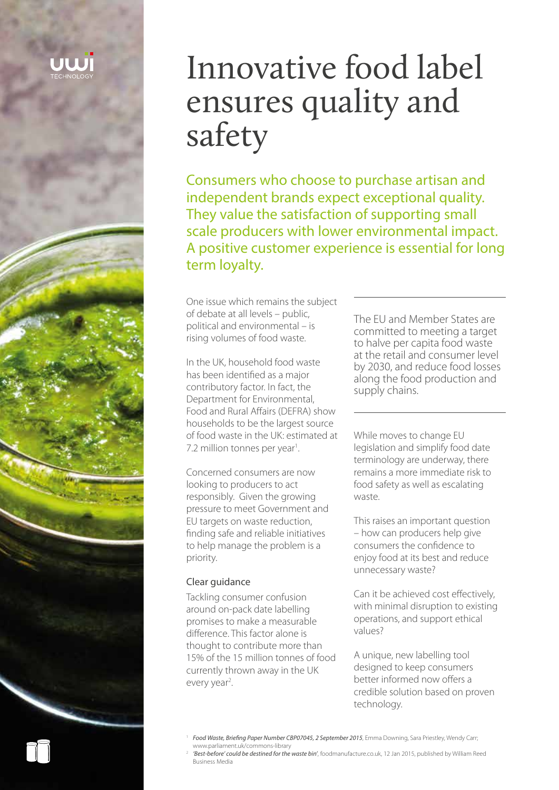# Innovative food label ensures quality and safety

Consumers who choose to purchase artisan and independent brands expect exceptional quality. They value the satisfaction of supporting small scale producers with lower environmental impact. A positive customer experience is essential for long term loyalty.

One issue which remains the subject of debate at all levels – public, political and environmental – is rising volumes of food waste.

In the UK, household food waste has been identified as a major contributory factor. In fact, the Department for Environmental, Food and Rural Affairs (DEFRA) show households to be the largest source of food waste in the UK: estimated at 7.2 million tonnes per year<sup>1</sup>. .

Concerned consumers are now looking to producers to act responsibly. Given the growing pressure to meet Government and EU targets on waste reduction, finding safe and reliable initiatives to help manage the problem is a priority.

### Clear guidance

Tackling consumer confusion around on-pack date labelling promises to make a measurable difference. This factor alone is thought to contribute more than 15% of the 15 million tonnes of food currently thrown away in the UK every year<sup>2</sup>.

The EU and Member States are committed to meeting a target to halve per capita food waste at the retail and consumer level by 2030, and reduce food losses along the food production and supply chains.

While moves to change EU legislation and simplify food date terminology are underway, there remains a more immediate risk to food safety as well as escalating waste.

This raises an important question – how can producers help give consumers the confidence to enjoy food at its best and reduce unnecessary waste?

Can it be achieved cost effectively, with minimal disruption to existing operations, and support ethical values?

A unique, new labelling tool designed to keep consumers better informed now offers a credible solution based on proven technology.

<sup>1</sup> *Food Waste, Briefing Paper Number CBP07045, 2 September 2015*, Emma Downing, Sara Priestley, Wendy Carr; www.parliament.uk/commons-library

<sup>2</sup> *'Best-before' could be destined for the waste bin'*, foodmanufacture.co.uk, 12 Jan 2015, published by William Reed Business Media